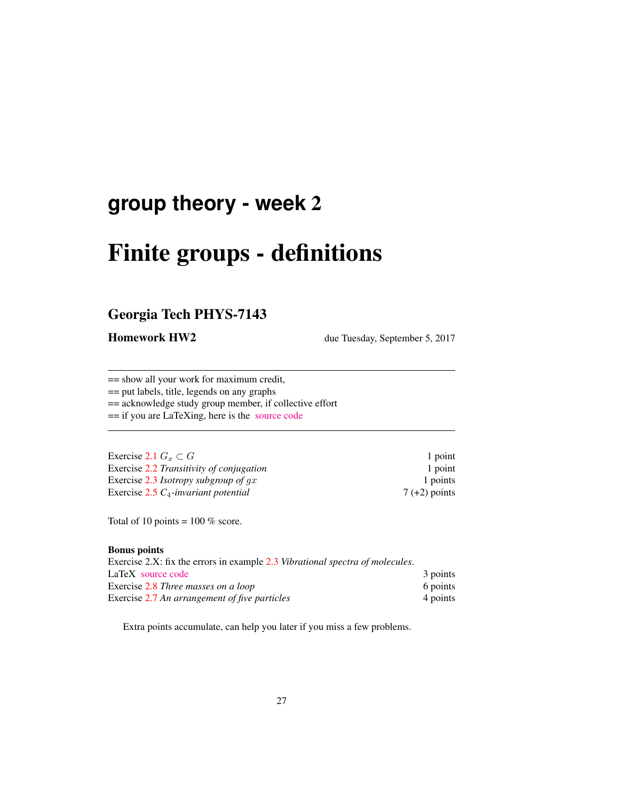## **group theory - week** 2

# Finite groups - definitions

## Georgia Tech PHYS-7143

Homework HW2 due Tuesday, September 5, 2017

== show all your work for maximum credit,

== put labels, title, legends on any graphs

== acknowledge study group member, if collective effort

== if you are LaTeXing, here is the [source code](http://birdtracks.eu/courses/PHYS-7143-17/exerWeek2.tex)

| Exercise 2.1 $G_r \subset G$             | 1 point         |
|------------------------------------------|-----------------|
| Exercise 2.2 Transitivity of conjugation | 1 point         |
| Exercise 2.3 Isotropy subgroup of $gx$   | 1 points        |
| Exercise $2.5 C_4$ -invariant potential  | $7 (+2)$ points |

Total of 10 points =  $100\%$  score.

#### Bonus points

| Exercise 2.X: fix the errors in example 2.3 Vibrational spectra of molecules. |          |
|-------------------------------------------------------------------------------|----------|
| LaTeX source code                                                             | 3 points |
| Exercise 2.8 Three masses on a loop                                           | 6 points |
| Exercise 2.7 An arrangement of five particles                                 | 4 points |

Extra points accumulate, can help you later if you miss a few problems.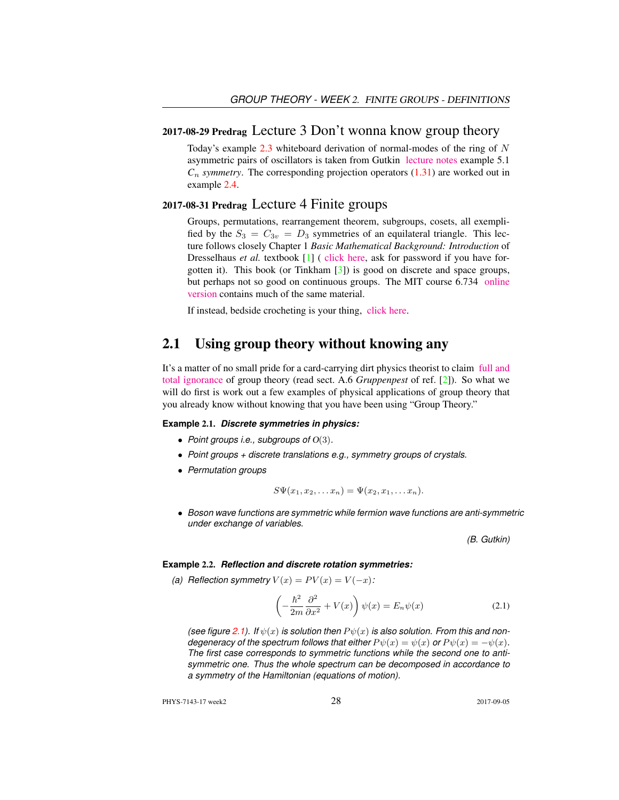#### 2017-08-29 Predrag Lecture 3 Don't wonna know group theory

Today's example  $2.3$  whiteboard derivation of normal-modes of the ring of N asymmetric pairs of oscillators is taken from Gutkin [lecture notes](http://birdtracks.eu/courses/PHYS-7143-17/groups.pdf) example 5.1  $C_n$  *symmetry*. The corresponding projection operators  $(1.31)$  are worked out in example 2.4.

#### 2017-08-31 Predrag Lecture 4 Finite groups

Groups, permutations, rearrangement theorem, subgroups, cosets, all exemplified by the  $S_3 = C_{3v} = D_3$  symmetries of an equilateral triangle. This lecture follows closely Chapter 1 *Basic Mathematical Background: Introduction* of Dresselhaus *et al.* textbook [1] ( [click here,](http://chaosbook.org/library/Dresselhaus07.pdf) ask for password if you have forgotten it). This book (or Tinkham [3]) is good on discrete and space groups, but perhaps not so good on continuous groups. The MIT course 6.734 [online](http://stuff.mit.edu/afs/athena/course/6/6.734j/www/group-full02.pdf) [version](http://stuff.mit.edu/afs/athena/course/6/6.734j/www/group-full02.pdf) contains much of the same material.

If instead, bedside crocheting is your thing, [click here.](http://www.theiff.org/oexhibits/oe1e.html)

## 2.1 Using group theory without knowing any

It's a matter of no small pride for a card-carrying dirt physics theorist to claim [full and](https://www.youtube.com/embed/CvuoY_yPZeM) [total ignorance](https://www.youtube.com/embed/CvuoY_yPZeM) of group theory (read sect. A.6 *Gruppenpest* of ref. [2]). So what we will do first is work out a few examples of physical applications of group theory that you already know without knowing that you have been using "Group Theory."

#### **Example** 2.1. *Discrete symmetries in physics:*

- *Point groups i.e., subgroups of* O(3)*.*
- *Point groups + discrete translations e.g., symmetry groups of crystals.*
- *Permutation groups*

$$
S\Psi(x_1,x_2,\ldots x_n)=\Psi(x_2,x_1,\ldots x_n).
$$

• *Boson wave functions are symmetric while fermion wave functions are anti-symmetric under exchange of variables.*

*(B. Gutkin)*

#### **Example** 2.2. *Reflection and discrete rotation symmetries:*

*(a) Reflection symmetry*  $V(x) = PV(x) = V(-x)$ :

$$
\left(-\frac{\hbar^2}{2m}\frac{\partial^2}{\partial x^2} + V(x)\right)\psi(x) = E_n\psi(x)
$$
\n(2.1)

*(see figure 2.1).* If  $\psi(x)$  *is solution then*  $P\psi(x)$  *is also solution. From this and nondegeneracy of the spectrum follows that either*  $P \psi(x) = \psi(x)$  *or*  $P \psi(x) = -\psi(x)$ *. The first case corresponds to symmetric functions while the second one to antisymmetric one. Thus the whole spectrum can be decomposed in accordance to a symmetry of the Hamiltonian (equations of motion).*

PHYS-7143-17 week2 2017-09-05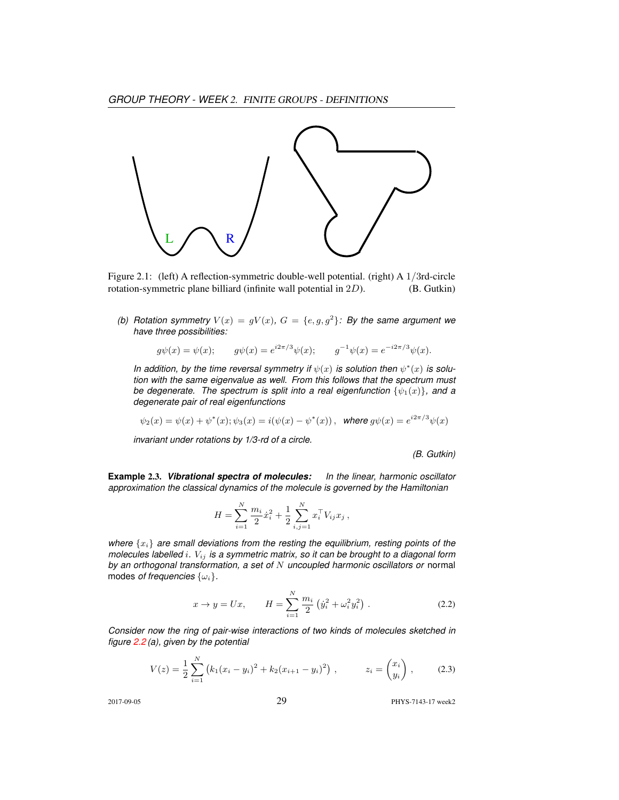

Figure 2.1: (left) A reflection-symmetric double-well potential. (right) A 1/3rd-circle rotation-symmetric plane billiard (infinite wall potential in 2D). (B. Gutkin)

(b) Rotation symmetry  $V(x) = gV(x)$ ,  $G = \{e, g, g^2\}$ : By the same argument we *have three possibilities:*

$$
g\psi(x) = \psi(x);
$$
  $g\psi(x) = e^{i2\pi/3}\psi(x);$   $g^{-1}\psi(x) = e^{-i2\pi/3}\psi(x).$ 

In addition, by the time reversal symmetry if  $\psi(x)$  is solution then  $\psi^*(x)$  is solu*tion with the same eigenvalue as well. From this follows that the spectrum must be degenerate. The spectrum is split into a real eigenfunction*  $\{\psi_1(x)\}\$ *, and a degenerate pair of real eigenfunctions*

$$
\psi_2(x) = \psi(x) + \psi^*(x); \psi_3(x) = i(\psi(x) - \psi^*(x)),
$$
 where  $g\psi(x) = e^{i2\pi/3}\psi(x)$ 

*invariant under rotations by 1/3-rd of a circle.*

*(B. Gutkin)*

**Example** 2.3. *Vibrational spectra of molecules: In the linear, harmonic oscillator approximation the classical dynamics of the molecule is governed by the Hamiltonian*

$$
H = \sum_{i=1}^{N} \frac{m_i}{2} \dot{x}_i^2 + \frac{1}{2} \sum_{i,j=1}^{N} x_i^{\top} V_{ij} x_j ,
$$

*where*  $\{x_i\}$  *are small deviations from the resting the equilibrium, resting points of the molecules labelled* i*.* Vij *is a symmetric matrix, so it can be brought to a diagonal form by an orthogonal transformation, a set of* N *uncoupled harmonic oscillators or* normal modes *of frequencies*  $\{\omega_i\}$ .

$$
x \to y = Ux, \qquad H = \sum_{i=1}^{N} \frac{m_i}{2} \left( \dot{y}_i^2 + \omega_i^2 y_i^2 \right). \tag{2.2}
$$

*Consider now the ring of pair-wise interactions of two kinds of molecules sketched in figure 2.2 (a), given by the potential*

$$
V(z) = \frac{1}{2} \sum_{i=1}^{N} (k_1 (x_i - y_i)^2 + k_2 (x_{i+1} - y_i)^2) , \qquad z_i = \begin{pmatrix} x_i \\ y_i \end{pmatrix} , \qquad (2.3)
$$

2017-09-05 29 PHYS-7143-17 week2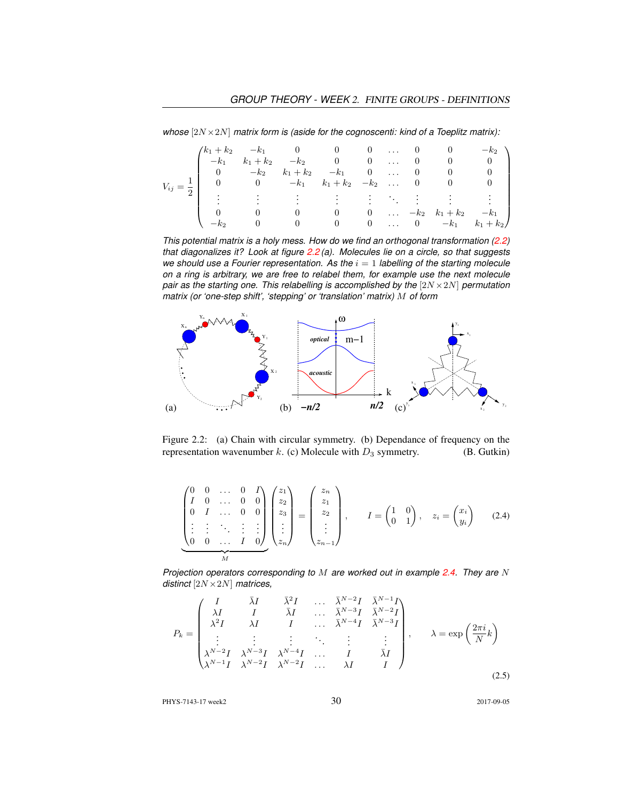*whose* [2N ×2N] *matrix form is (aside for the cognoscenti: kind of a Toeplitz matrix):*

| $V_{ij}$ |  |                |  |  | $\begin{pmatrix} k_1 + k_2 & -k_1 & 0 & 0 & 0 & \dots & 0 & 0 & -k_2 \\ -k_1 & k_1 + k_2 & -k_2 & 0 & 0 & \dots & 0 & 0 & 0 \\ 0 & -k_2 & k_1 + k_2 & -k_1 & 0 & \dots & 0 & 0 & 0 \\ \end{pmatrix}$ |
|----------|--|----------------|--|--|------------------------------------------------------------------------------------------------------------------------------------------------------------------------------------------------------|
|          |  |                |  |  |                                                                                                                                                                                                      |
|          |  |                |  |  | $=\frac{1}{2}$ 0 0 $-k_1$ $k_1+k_2$ $-k_2$ 0 0 0 0                                                                                                                                                   |
|          |  |                |  |  | $\sim$ 1000 m $\sim$ 1000 m $\sim$ 1000 m $\sim$ 1000 m                                                                                                                                              |
|          |  |                |  |  |                                                                                                                                                                                                      |
|          |  |                |  |  | 0 0 0 $\ldots$ $-k_2$ $k_1 + k_2$ $-k_1$                                                                                                                                                             |
|          |  | $\overline{0}$ |  |  | 0 0  0 $-k_1$ $k_1 + k_2$                                                                                                                                                                            |

*This potential matrix is a holy mess. How do we find an orthogonal transformation (2.2) that diagonalizes it? Look at figure 2.2 (a). Molecules lie on a circle, so that suggests we should use a Fourier representation. As the*  $i = 1$  *labelling of the starting molecule on a ring is arbitrary, we are free to relabel them, for example use the next molecule pair as the starting one. This relabelling is accomplished by the*  $[2N \times 2N]$  *permutation matrix (or 'one-step shift', 'stepping' or 'translation' matrix)* M *of form*



Figure 2.2: (a) Chain with circular symmetry. (b) Dependance of frequency on the representation wavenumber k. (c) Molecule with  $D_3$  symmetry. (B. Gutkin)

$$
\begin{pmatrix}\n0 & 0 & \dots & 0 & I \\
I & 0 & \dots & 0 & 0 \\
0 & I & \dots & 0 & 0 \\
\vdots & \vdots & \ddots & \vdots & \vdots \\
0 & 0 & \dots & I & 0\n\end{pmatrix}\n\begin{pmatrix}\nz_1 \\
z_2 \\
z_3 \\
\vdots \\
z_n\n\end{pmatrix} =\n\begin{pmatrix}\nz_n \\
z_1 \\
z_2 \\
\vdots \\
z_{n-1}\n\end{pmatrix}, \quad I = \begin{pmatrix}\n1 & 0 \\
0 & 1\n\end{pmatrix}, \quad z_i = \begin{pmatrix}\nx_i \\
y_i\n\end{pmatrix}
$$
\n(2.4)

*Projection operators corresponding to* M *are worked out in example 2.4. They are* N *distinct* [2N ×2N] *matrices,*

$$
P_k = \begin{pmatrix} I & \bar{\lambda}I & \bar{\lambda}^2I & \dots & \bar{\lambda}^{N-2}I & \bar{\lambda}^{N-1}I \\ \lambda I & I & \bar{\lambda}I & \dots & \bar{\lambda}^{N-3}I & \bar{\lambda}^{N-2}I \\ \lambda^2I & \lambda I & I & \dots & \bar{\lambda}^{N-4}I & \bar{\lambda}^{N-3}I \\ \vdots & \vdots & \vdots & \ddots & \vdots & \vdots \\ \lambda^{N-2}I & \lambda^{N-3}I & \lambda^{N-4}I & \dots & I & \bar{\lambda}I \\ \lambda^{N-1}I & \lambda^{N-2}I & \lambda^{N-2}I & \dots & \lambda I & I \end{pmatrix}, \quad \lambda = \exp\left(\frac{2\pi i}{N}k\right) \tag{2.5}
$$

PHYS-7143-17 week2 30 30 2017-09-05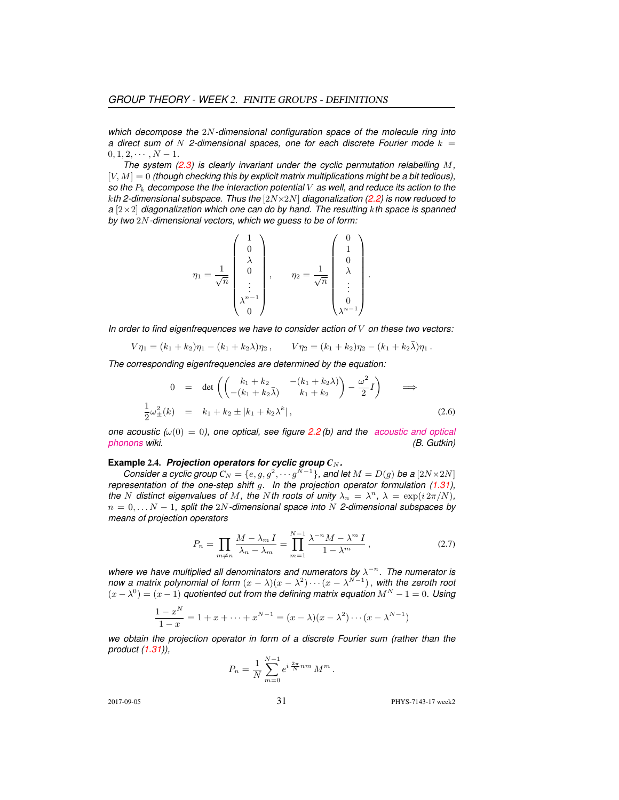*which decompose the* 2N*-dimensional configuration space of the molecule ring into a* direct sum of  $N$  2-dimensional spaces, one for each discrete Fourier mode  $k =$  $0, 1, 2, \cdots, N-1.$ 

*The system (2.3) is clearly invariant under the cyclic permutation relabelling* M*,* [V, M] = 0 *(though checking this by explicit matrix multiplications might be a bit tedious), so the* P<sup>k</sup> *decompose the the interaction potential* V *as well, and reduce its action to the* k*th 2-dimensional subspace. Thus the* [2N×2N] *diagonalization (2.2) is now reduced to a* [2×2] *diagonalization which one can do by hand. The resulting* k*th space is spanned by two* 2N*-dimensional vectors, which we guess to be of form:*

$$
\eta_1 = \frac{1}{\sqrt{n}} \begin{pmatrix} 1 \\ 0 \\ \lambda \\ 0 \\ \vdots \\ \lambda^{n-1} \\ 0 \end{pmatrix}, \qquad \eta_2 = \frac{1}{\sqrt{n}} \begin{pmatrix} 0 \\ 1 \\ 0 \\ \lambda \\ \vdots \\ 0 \\ \lambda^{n-1} \end{pmatrix}.
$$

*In order to find eigenfrequences we have to consider action of* V *on these two vectors:*

$$
V\eta_1 = (k_1 + k_2)\eta_1 - (k_1 + k_2\lambda)\eta_2, \qquad V\eta_2 = (k_1 + k_2)\eta_2 - (k_1 + k_2\bar{\lambda})\eta_1.
$$

*The corresponding eigenfrequencies are determined by the equation:*

$$
0 = \det \left( \begin{pmatrix} k_1 + k_2 & -(k_1 + k_2 \lambda) \\ -(k_1 + k_2 \bar{\lambda}) & k_1 + k_2 \end{pmatrix} - \frac{\omega^2}{2} I \right) \implies
$$
  

$$
\frac{1}{2} \omega_{\pm}^2(k) = k_1 + k_2 \pm |k_1 + k_2 \lambda^k|,
$$
 (2.6)

*one acoustic (* $\omega(0) = 0$ *), one optical, see figure 2.2 (b) and the [acoustic and optical](https://en.wikipedia.org/wiki/Phonon#Acoustic_and_optical_phonons) [phonons](https://en.wikipedia.org/wiki/Phonon#Acoustic_and_optical_phonons) wiki. (B. Gutkin)*

#### **Example** 2.4. *Projection operators for cyclic group*  $C_N$ *.*

*Consider a cyclic group*  $C_N = \{e, g, g^2, \cdots g^{N-1}\}$ , and let  $M = D(g)$  be a  $[2N \times 2N]$ *representation of the one-step shift* g*. In the projection operator formulation (1.31), the N* distinct eigenvalues of *M*, the *N*th roots of unity  $\lambda_n = \lambda^n$ ,  $\lambda = \exp(i 2\pi/N)$ , n = 0, . . . N − 1*, split the* 2N*-dimensional space into* N *2-dimensional subspaces by means of projection operators*

$$
P_n = \prod_{m \neq n} \frac{M - \lambda_m I}{\lambda_n - \lambda_m} = \prod_{m=1}^{N-1} \frac{\lambda^{-n} M - \lambda^m I}{1 - \lambda^m},
$$
\n(2.7)

where we have multiplied all denominators and numerators by  $\lambda^{-n}$ . The numerator is *now a matrix polynomial of form*  $(x - \lambda)(x - \lambda^2) \cdots (x - \lambda^{N-1})$ , with the zeroth root  $(x - \lambda^0) = (x - 1)$  *quotiented out from the defining matrix equation*  $M^N - 1 = 0$ . Using

$$
\frac{1-x^N}{1-x} = 1 + x + \dots + x^{N-1} = (x - \lambda)(x - \lambda^2) \cdots (x - \lambda^{N-1})
$$

*we obtain the projection operator in form of a discrete Fourier sum (rather than the product (1.31)),*

$$
P_n = \frac{1}{N} \sum_{m=0}^{N-1} e^{i \frac{2\pi}{N} nm} M^m.
$$

2017-09-05 31 PHYS-7143-17 week2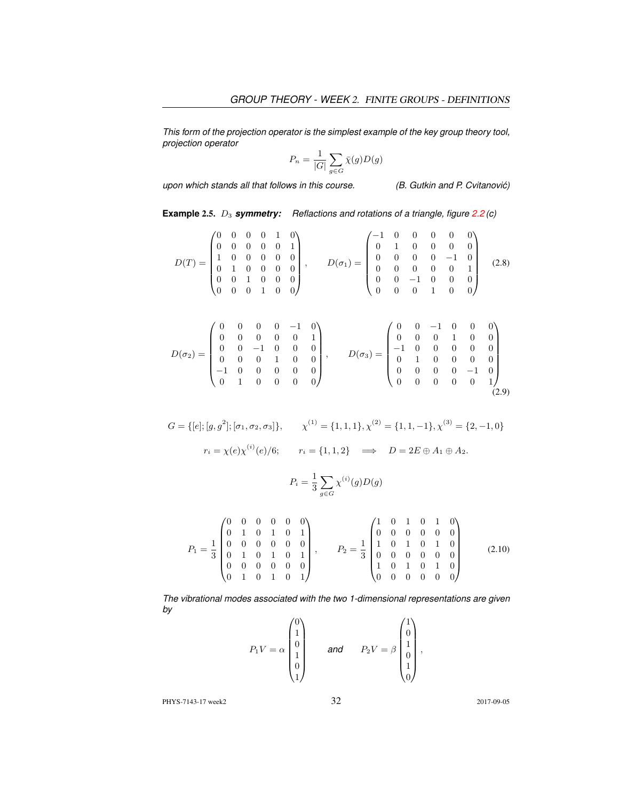*This form of the projection operator is the simplest example of the key group theory tool, projection operator*

$$
P_n = \frac{1}{|G|} \sum_{g \in G} \bar{\chi}(g) D(g)
$$

*upon which stands all that follows in this course. (B. Gutkin and P. Cvitanovic)´*

**Example 2.5.**  $D_3$  **symmetry:** Reflactions and rotations of a triangle, figure 2.2 (c)

$$
D(T) = \begin{pmatrix} 0 & 0 & 0 & 0 & 1 & 0 \\ 0 & 0 & 0 & 0 & 0 & 1 \\ 1 & 0 & 0 & 0 & 0 & 0 \\ 0 & 1 & 0 & 0 & 0 & 0 \\ 0 & 0 & 1 & 0 & 0 & 0 \\ 0 & 0 & 0 & 1 & 0 & 0 \end{pmatrix}, \qquad D(\sigma_1) = \begin{pmatrix} -1 & 0 & 0 & 0 & 0 & 0 \\ 0 & 1 & 0 & 0 & 0 & 0 \\ 0 & 0 & 0 & 0 & -1 & 0 \\ 0 & 0 & 0 & 0 & 0 & 1 \\ 0 & 0 & -1 & 0 & 0 & 0 \\ 0 & 0 & 0 & 1 & 0 & 0 \end{pmatrix} \qquad (2.8)
$$

$$
D(\sigma_2) = \begin{pmatrix} 0 & 0 & 0 & -1 & 0 \\ 0 & 0 & 0 & 0 & 1 \\ 0 & 0 & 0 & 1 & 0 \\ 0 & 0 & 0 & 1 & 0 & 0 \\ -1 & 0 & 0 & 0 & 0 & 0 \\ 0 & 1 & 0 & 0 & 0 & 0 \end{pmatrix}, \qquad D(\sigma_3) = \begin{pmatrix} 0 & 0 & -1 & 0 & 0 & 0 \\ 0 & 0 & 0 & 1 & 0 & 0 \\ -1 & 0 & 0 & 0 & 0 & 0 \\ 0 & 1 & 0 & 0 & 0 & 0 \\ 0 & 0 & 0 & 0 & -1 & 0 \\ 0 & 0 & 0 & 0 & 0 & 1 \end{pmatrix}
$$

$$
(2.9)
$$

$$
G = \{ [e]; [g, g^2]; [\sigma_1, \sigma_2, \sigma_3] \}, \qquad \chi^{(1)} = \{1, 1, 1\}, \chi^{(2)} = \{1, 1, -1\}, \chi^{(3)} = \{2, -1, 0\}
$$

$$
r_i = \chi(e)\chi^{(i)}(e)/6; \qquad r_i = \{1, 1, 2\} \quad \Longrightarrow \quad D = 2E \oplus A_1 \oplus A_2.
$$

$$
P_i = \frac{1}{3} \sum_{g \in G} \chi^{(i)}(g) D(g)
$$

$$
P_1 = \frac{1}{3} \begin{pmatrix} 0 & 0 & 0 & 0 & 0 & 0 \\ 0 & 1 & 0 & 1 & 0 & 1 \\ 0 & 0 & 0 & 0 & 0 & 0 \\ 0 & 1 & 0 & 1 & 0 & 1 \\ 0 & 0 & 0 & 0 & 0 & 0 \\ 0 & 1 & 0 & 1 & 0 & 1 \end{pmatrix}, \qquad P_2 = \frac{1}{3} \begin{pmatrix} 1 & 0 & 1 & 0 & 1 & 0 \\ 0 & 0 & 0 & 0 & 0 & 0 \\ 1 & 0 & 1 & 0 & 1 & 0 \\ 0 & 0 & 0 & 0 & 0 & 0 \\ 1 & 0 & 1 & 0 & 1 & 0 \\ 0 & 0 & 0 & 0 & 0 & 0 \end{pmatrix}
$$
(2.10)

*The vibrational modes associated with the two 1-dimensional representations are given by*

$$
P_1V = \alpha \begin{pmatrix} 0 \\ 1 \\ 0 \\ 1 \\ 0 \\ 1 \end{pmatrix} \quad \text{and} \quad P_2V = \beta \begin{pmatrix} 1 \\ 0 \\ 1 \\ 0 \\ 1 \\ 0 \end{pmatrix},
$$

PHYS-7143-17 week2 32 2017-09-05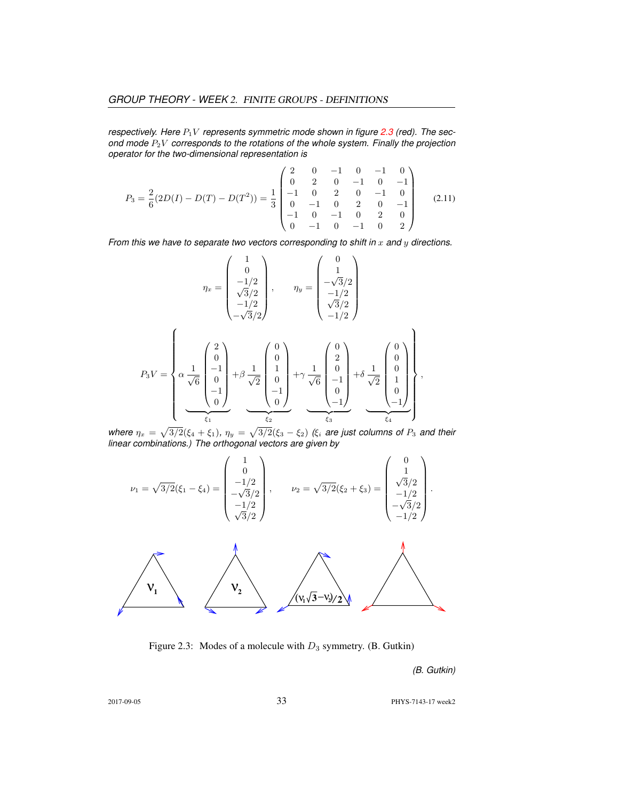*respectively. Here*  $P_1V$  *represents symmetric mode shown in figure* 2.3 (red). The sec*ond mode* P2V *corresponds to the rotations of the whole system. Finally the projection operator for the two-dimensional representation is*

$$
P_3 = \frac{2}{6}(2D(I) - D(T) - D(T^2)) = \frac{1}{3} \begin{pmatrix} 2 & 0 & -1 & 0 & -1 & 0 \\ 0 & 2 & 0 & -1 & 0 & -1 \\ -1 & 0 & 2 & 0 & -1 & 0 \\ 0 & -1 & 0 & 2 & 0 & -1 \\ -1 & 0 & -1 & 0 & 2 & 0 \\ 0 & -1 & 0 & -1 & 0 & 2 \end{pmatrix}
$$
(2.11)

*From this we have to separate two vectors corresponding to shift in* x and y directions.

$$
\eta_x = \begin{pmatrix} 1 \\ 0 \\ -1/2 \\ \sqrt{3}/2 \\ -1/2 \\ -\sqrt{3}/2 \end{pmatrix}, \qquad \eta_y = \begin{pmatrix} 0 \\ 1 \\ -\sqrt{3}/2 \\ -1/2 \\ \sqrt{3}/2 \\ -1/2 \end{pmatrix}
$$

$$
P_3V = \begin{pmatrix} 2 \\ 0 \\ \sqrt{6} \\ 0 \\ -1 \\ 0 \end{pmatrix} + \beta \frac{1}{\sqrt{2}} \begin{pmatrix} 0 \\ 0 \\ 1 \\ 0 \\ -1 \\ 0 \end{pmatrix} + \gamma \frac{1}{\sqrt{6}} \begin{pmatrix} 0 \\ 2 \\ 0 \\ -1 \\ 0 \\ -1 \end{pmatrix} + \delta \frac{1}{\sqrt{2}} \begin{pmatrix} 0 \\ 0 \\ 0 \\ 1 \\ 0 \\ -1 \end{pmatrix},
$$

where  $\eta_x = \sqrt{3/2}(\xi_4 + \xi_1)$ ,  $\eta_y = \sqrt{3/2}(\xi_3 - \xi_2)$  *(* $\xi_i$  *are just columns of*  $P_3$  *and their linear combinations.) The orthogonal vectors are given by*

$$
\nu_1 = \sqrt{3/2}(\xi_1 - \xi_4) = \begin{pmatrix} 1 \\ 0 \\ -1/2 \\ -\sqrt{3}/2 \\ 1/2 \\ \sqrt{3}/2 \end{pmatrix}, \qquad \nu_2 = \sqrt{3/2}(\xi_2 + \xi_3) = \begin{pmatrix} 0 \\ 1 \\ \sqrt{3}/2 \\ -1/2 \\ -\sqrt{3}/2 \\ -1/2 \end{pmatrix}.
$$

Figure 2.3: Modes of a molecule with  $D_3$  symmetry. (B. Gutkin)

*(B. Gutkin)*

2017-09-05 33 PHYS-7143-17 week2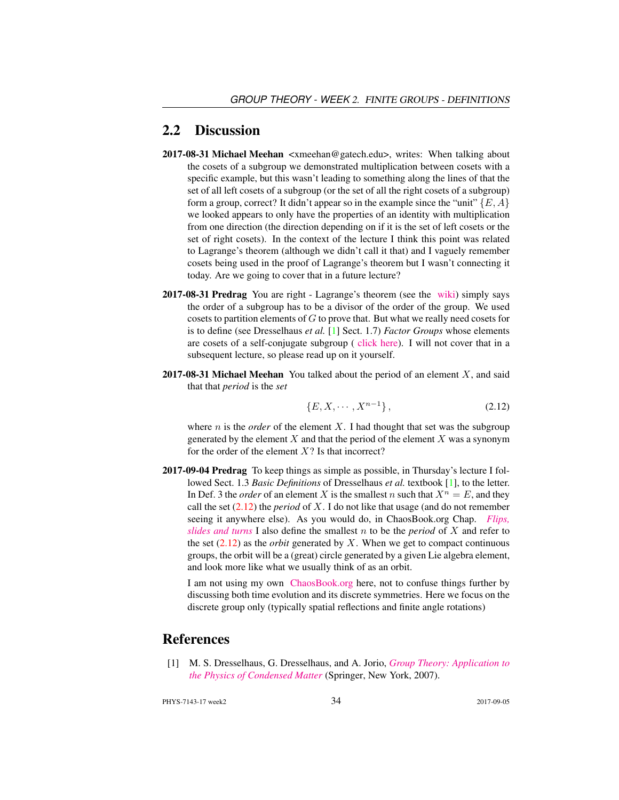### 2.2 Discussion

- 2017-08-31 Michael Meehan <xmeehan@gatech.edu>, writes: When talking about the cosets of a subgroup we demonstrated multiplication between cosets with a specific example, but this wasn't leading to something along the lines of that the set of all left cosets of a subgroup (or the set of all the right cosets of a subgroup) form a group, correct? It didn't appear so in the example since the "unit"  $\{E, A\}$ we looked appears to only have the properties of an identity with multiplication from one direction (the direction depending on if it is the set of left cosets or the set of right cosets). In the context of the lecture I think this point was related to Lagrange's theorem (although we didn't call it that) and I vaguely remember cosets being used in the proof of Lagrange's theorem but I wasn't connecting it today. Are we going to cover that in a future lecture?
- 2017-08-31 Predrag You are right Lagrange's theorem (see the [wiki\)](https://en.wikipedia.org/wiki/Lagrange%27s_theorem_(group_theory)) simply says the order of a subgroup has to be a divisor of the order of the group. We used cosets to partition elements of  $G$  to prove that. But what we really need cosets for is to define (see Dresselhaus *et al.* [1] Sect. 1.7) *Factor Groups* whose elements are cosets of a self-conjugate subgroup ( [click here\)](http://chaosbook.org/library/Dresselhaus07.pdf). I will not cover that in a subsequent lecture, so please read up on it yourself.
- **2017-08-31 Michael Meehan** You talked about the period of an element  $X$ , and said that that *period* is the *set*

$$
\{E, X, \cdots, X^{n-1}\},\tag{2.12}
$$

where  $n$  is the *order* of the element  $X$ . I had thought that set was the subgroup generated by the element  $X$  and that the period of the element  $X$  was a synonym for the order of the element  $X$ ? Is that incorrect?

2017-09-04 Predrag To keep things as simple as possible, in Thursday's lecture I followed Sect. 1.3 *Basic Definitions* of Dresselhaus *et al.* textbook [1], to the letter. In Def. 3 the *order* of an element X is the smallest n such that  $X^n = E$ , and they call the set (2.12) the *period* of X. I do not like that usage (and do not remember seeing it anywhere else). As you would do, in ChaosBook.org Chap. *[Flips,](http://chaosbook.org/paper.shtml#finiteGr) [slides and turns](http://chaosbook.org/paper.shtml#finiteGr)* I also define the smallest n to be the *period* of X and refer to the set  $(2.12)$  as the *orbit* generated by X. When we get to compact continuous groups, the orbit will be a (great) circle generated by a given Lie algebra element, and look more like what we usually think of as an orbit.

I am not using my own [ChaosBook.org](http://ChaosBook.org) here, not to confuse things further by discussing both time evolution and its discrete symmetries. Here we focus on the discrete group only (typically spatial reflections and finite angle rotations)

## References

[1] M. S. Dresselhaus, G. Dresselhaus, and A. Jorio, *[Group Theory: Application to](http://dx.doi.org/10.1007/978-3-540-32899-5) [the Physics of Condensed Matter](http://dx.doi.org/10.1007/978-3-540-32899-5)* (Springer, New York, 2007).

PHYS-7143-17 week2 34 2017-09-05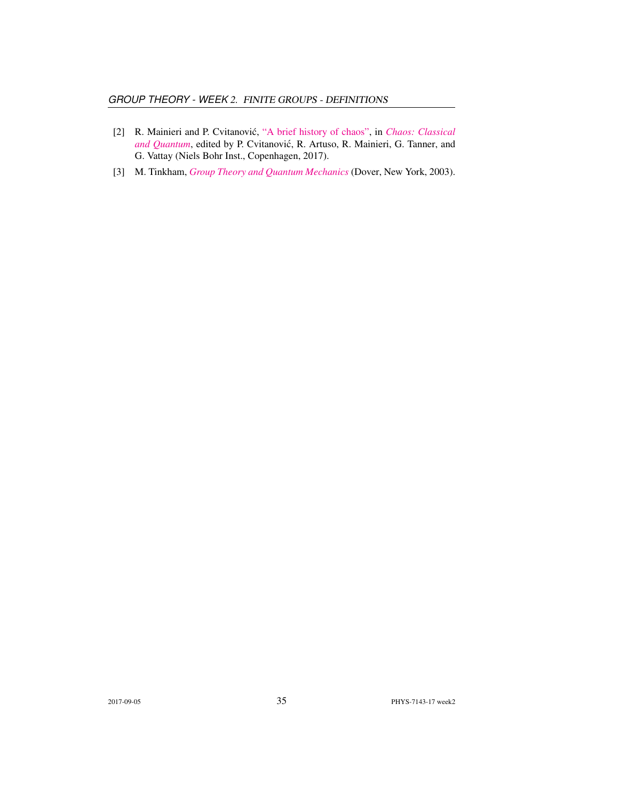- [2] R. Mainieri and P. Cvitanovic,´ ["A brief history of chaos",](http://ChaosBook.org/paper.shtml#appendHist) in *[Chaos: Classical](http://ChaosBook.org/paper.shtml#appendHist)* [and Quantum](http://ChaosBook.org/paper.shtml#appendHist), edited by P. Cvitanović, R. Artuso, R. Mainieri, G. Tanner, and G. Vattay (Niels Bohr Inst., Copenhagen, 2017).
- [3] M. Tinkham, *[Group Theory and Quantum Mechanics](http://dx.doi.org/10.1016/c2013-0-01646-5)* (Dover, New York, 2003).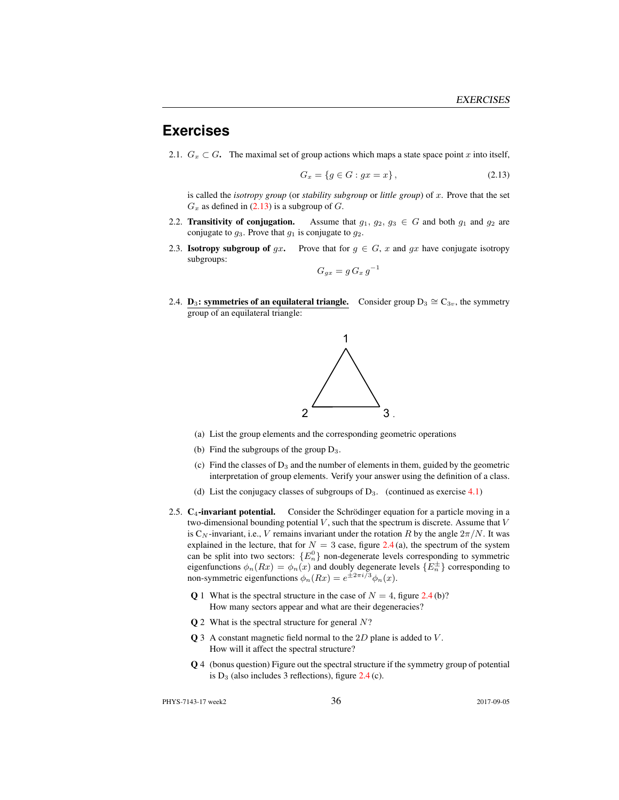## **Exercises**

2.1.  $G_x \subset G$ . The maximal set of group actions which maps a state space point x into itself,

$$
G_x = \{ g \in G : gx = x \},\tag{2.13}
$$

is called the *isotropy group* (or *stability subgroup* or *little group*) of x. Prove that the set  $G_x$  as defined in (2.13) is a subgroup of G.

- 2.2. **Transitivity of conjugation.** Assume that  $g_1, g_2, g_3 \in G$  and both  $g_1$  and  $g_2$  are conjugate to  $g_3$ . Prove that  $g_1$  is conjugate to  $g_2$ .
- 2.3. **Isotropy subgroup of** gx. Prove that for  $g \in G$ , x and gx have conjugate isotropy subgroups:

$$
G_{gx} = g G_x g^{-1}
$$

2.4. **D<sub>3</sub>: symmetries of an equilateral triangle.** Consider group  $D_3 \cong C_{3v}$ , the symmetry group of an equilateral triangle:



- (a) List the group elements and the corresponding geometric operations
- (b) Find the subgroups of the group  $D_3$ .
- (c) Find the classes of  $D_3$  and the number of elements in them, guided by the geometric interpretation of group elements. Verify your answer using the definition of a class.
- (d) List the conjugacy classes of subgroups of  $D_3$ . (continued as exercise 4.1)
- 2.5.  $C_4$ -invariant potential. Consider the Schrödinger equation for a particle moving in a two-dimensional bounding potential  $V$ , such that the spectrum is discrete. Assume that  $V$ is C<sub>N</sub>-invariant, i.e., V remains invariant under the rotation R by the angle  $2\pi/N$ . It was explained in the lecture, that for  $N = 3$  case, figure 2.4(a), the spectrum of the system can be split into two sectors:  ${E_n^0}$  non-degenerate levels corresponding to symmetric eigenfunctions  $\phi_n(Rx) = \phi_n(x)$  and doubly degenerate levels  $\{E_n^{\pm}\}\$  corresponding to non-symmetric eigenfunctions  $\phi_n(Rx) = e^{\pm 2\pi i/3} \phi_n(x)$ .
	- **Q** 1 What is the spectral structure in the case of  $N = 4$ , figure 2.4 (b)? How many sectors appear and what are their degeneracies?
	- $Q$  2 What is the spectral structure for general  $N$ ?
	- $Q$  3 A constant magnetic field normal to the  $2D$  plane is added to  $V$ . How will it affect the spectral structure?
	- Q 4 (bonus question) Figure out the spectral structure if the symmetry group of potential is  $D_3$  (also includes 3 reflections), figure  $2.4$  (c).

PHYS-7143-17 week2 36 36 2017-09-05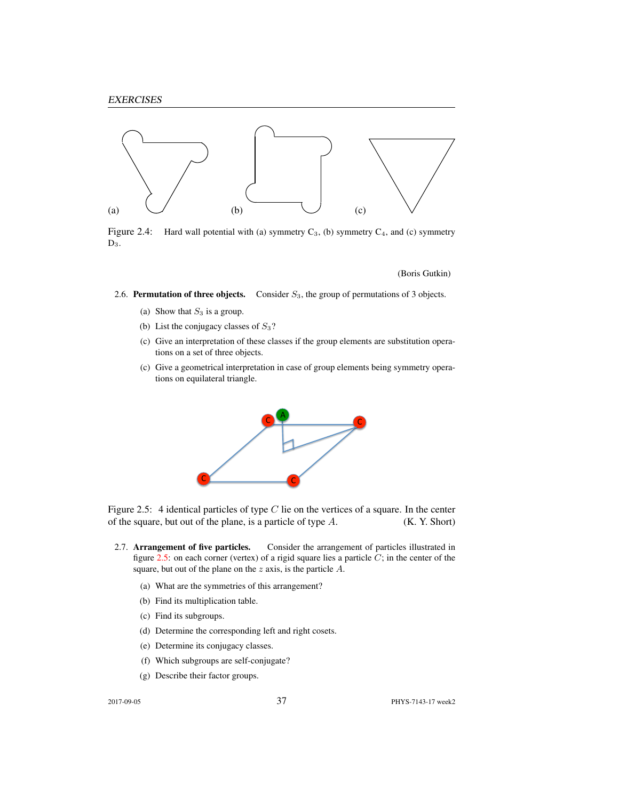

Figure 2.4: Hard wall potential with (a) symmetry  $C_3$ , (b) symmetry  $C_4$ , and (c) symmetry  $D_3$ .

(Boris Gutkin)

2.6. Permutation of three objects. Consider  $S_3$ , the group of permutations of 3 objects.

- (a) Show that  $S_3$  is a group.
- (b) List the conjugacy classes of  $S_3$ ?
- (c) Give an interpretation of these classes if the group elements are substitution operations on a set of three objects.
- (c) Give a geometrical interpretation in case of group elements being symmetry operations on equilateral triangle.



Figure 2.5: 4 identical particles of type  $C$  lie on the vertices of a square. In the center of the square, but out of the plane, is a particle of type  $A$ . (K. Y. Short)

- 2.7. Arrangement of five particles. Consider the arrangement of particles illustrated in figure  $2.5$ : on each corner (vertex) of a rigid square lies a particle  $C$ ; in the center of the square, but out of the plane on the  $z$  axis, is the particle  $A$ .
	- (a) What are the symmetries of this arrangement?
	- (b) Find its multiplication table.
	- (c) Find its subgroups.
	- (d) Determine the corresponding left and right cosets.
	- (e) Determine its conjugacy classes.
	- (f) Which subgroups are self-conjugate?
	- (g) Describe their factor groups.